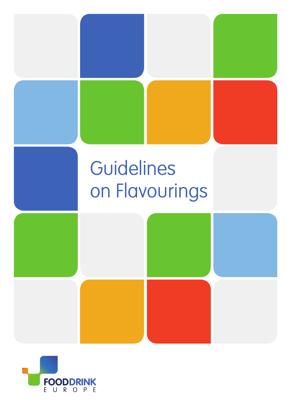# **Guidelines** on Flavourings

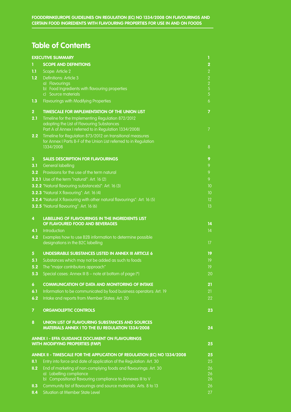## **Table of Contents**

|                         | <b>EXECUTIVE SUMMARY</b>                                                                                             | ı                                |
|-------------------------|----------------------------------------------------------------------------------------------------------------------|----------------------------------|
|                         | <b>SCOPE AND DEFINITIONS</b>                                                                                         | $\overline{2}$                   |
| 1.1                     | Scope: Article 2                                                                                                     | $\overline{2}$                   |
| 1.2                     | <b>Definitions: Article 3</b>                                                                                        | $\overline{2}$                   |
|                         | a) Flavourings                                                                                                       | $\overline{2}$                   |
|                         | b) Food Ingredients with flavouring properties<br>c) Source materials                                                | $\overline{5}$<br>$\overline{5}$ |
| 1.3                     | Flavourings with Modifying Properties                                                                                | $\overline{6}$                   |
|                         |                                                                                                                      |                                  |
| 2 <sup>1</sup>          | TIMESCALE FOR IMPLEMENTATION OF THE UNION LIST                                                                       | $\overline{\mathbf{z}}$          |
| 2.1                     | Timeline for the Implementing Regulation 872/2012                                                                    |                                  |
|                         | adopting the List of Flavouring Substances<br>Part A of Annex I referred to in Regulation 1334/2008)                 | $\overline{7}$                   |
| 2.2                     | Timeline for Regulation 873/2012 on transitional measures                                                            |                                  |
|                         | for Annex I Parts B-F of the Union List referred to in Regulation                                                    |                                  |
|                         | 1334/2008                                                                                                            | 8                                |
|                         |                                                                                                                      |                                  |
| $\mathbf{3}$            | <b>SALES DESCRIPTION FOR FLAVOURINGS</b>                                                                             | 9                                |
| 3.1                     | <b>General labelling</b>                                                                                             | 9                                |
| 3.2                     | Provisions for the use of the term natural                                                                           | 9                                |
|                         | 3.2.1 Use of the term "natural": Art. 16 (2)                                                                         | 9                                |
|                         | 3.2.2 "Natural flavouring substance(s)": Art. 16 (3)                                                                 | 10                               |
|                         | 3.2.3 "Natural X flavouring": Art. 16 (4)                                                                            | 10                               |
|                         | 3.2.4 "Natural X flavouring with other natural flavourings": Art. 16 (5)<br>3.2.5 "Natural flavouring": Art. 16 (6)  | 12<br>13                         |
|                         |                                                                                                                      |                                  |
| $\overline{4}$          | <b>LABELLING OF FLAVOURINGS IN THE INGREDIENTS LIST</b>                                                              |                                  |
|                         | OF FLAVOURED FOOD AND BEVERAGES                                                                                      | 14                               |
| 4.1                     | Introduction                                                                                                         | 14                               |
| 4.2                     | Examples how to use B2B information to determine possible                                                            |                                  |
|                         | designations in the B2C labelling                                                                                    | 17                               |
| 5 <sup>1</sup>          | <b>UNDESIRABLE SUBSTANCES LISTED IN ANNEX III ARTICLE 6</b>                                                          | 19                               |
| 5.1                     | Substances which may not be added as such to foods                                                                   | 19                               |
| 5.2                     | The "major contributors approach"                                                                                    | 19                               |
| 5.3                     | Special cases: Annex III B - note at bottom of page (*)                                                              | 20                               |
|                         |                                                                                                                      |                                  |
| $\mathbf{6}$            | <b>COMMUNICATION OF DATA AND MONITORING OF INTAKE</b>                                                                | 21                               |
| 6.1                     | Information to be communicated by food business operators: Art. 19<br>Intake and reports from Member States: Art. 20 | 21<br>22                         |
| 6.2                     |                                                                                                                      |                                  |
| $\overline{\mathbf{z}}$ | <b>ORGANOLEPTIC CONTROLS</b>                                                                                         | 23                               |
|                         |                                                                                                                      |                                  |
| $\bf{8}$                | UNION LIST OF FLAVOURING SUBSTANCES AND SOURCES                                                                      |                                  |
|                         | MATERIALS ANNEX I TO THE EU REGULATION 1334/2008                                                                     | 24                               |
|                         | <b>ANNEX I - EFFA GUIDANCE DOCUMENT ON FLAVOURINGS</b>                                                               |                                  |
|                         | WITH MODIFYING PROPERTIES (FMP)                                                                                      | 25                               |
|                         | ANNEX II - TIMESCALE FOR THE APPLICATION OF REGULATION (EC) NO 1334/2008                                             | 25                               |
| II.1                    | Entry into force and date of application of the Regulation: Art. 30                                                  | 25                               |
| II.2                    | End of marketing of non-complying foods and flavourings: Art. 30                                                     | 26                               |
|                         | a) Labelling compliance                                                                                              | 26                               |
|                         | b) Compositional flavouring compliance to Annexes III to V                                                           | 26                               |
| II.3                    | Community list of flavourings and source materials: Arts. 8 to 13                                                    | 26                               |
| II.4                    | Situation at Member State Level                                                                                      | 27                               |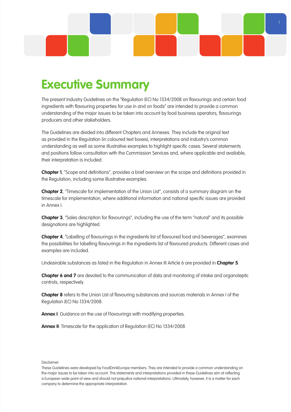<span id="page-2-0"></span>

## **Executive Summary**

The present Industry Guidelines on the "Regulation (EC) No 1334/2008 on flavourings and certain food ingredients with flavouring properties for use in and on foods" are intended to provide a common understanding of the major issues to be taken into account by food business operators, flavourings producers and other stakeholders.

The Guidelines are divided into different Chapters and Annexes. They include the original text as provided in the Regulation (in coloured text boxes), interpretations and industry's common understanding as well as some illustrative examples to highlight specific cases. Several statements and positions follow consultation with the Commission Services and, where applicable and available, their interpretation is included.

**Chapter 1**, "Scope and definitions", provides a brief overview on the scope and definitions provided in the Regulation, including some illustrative examples.

**Chapter 2**, "Timescale for implementation of the Union List", consists of a summary diagram on the timescale for implementation, where additional information and national specific issues are provided in Annex I.

**Chapter 3**, "Sales description for flavourings", including the use of the term "natural" and its possible designations are highlighted.

**Chapter 4**, "Labelling of flavourings in the ingredients list of flavoured food and beverages", examines the possibilities for labelling flavourings in the ingredients list of flavoured products. Different cases and examples are included.

Undesirable substances as listed in the Regulation in Annex III Article 6 are provided in **Chapter 5**.

**Chapter 6 and 7** are devoted to the communication of data and monitoring of intake and organoleptic controls, respectively.

**Chapter 8** refers to the Union List of flavouring substances and sources materials in Annex I of the Regulation (EC) No 1334/2008.

**Annex I**: Guidance on the use of Flavourings with modifying properties.

**Annex II**: Timescale for the application of Regulation (EC) No 1334/2008.

#### Disclaimer:

These Guidelines were developed by FoodDrinkEurope members. They are intended to provide a common understanding on the major issues to be taken into account. The statements and interpretations provided in these Guidelines aim at reflecting a European-wide point of view and should not prejudice national interpretations. Ultimately, however, it is a matter for each company to determine the appropriate interpretation.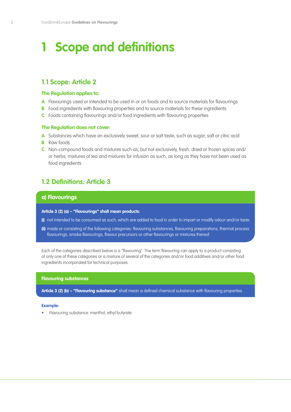## <span id="page-3-0"></span>**1 Scope and definitions**

## **1.1 Scope: Article 2**

## **The Regulation applies to:**

- **A** Flavourings used or intended to be used in or on foods and to source materials for flavourings
- **B** Food ingredients with flavouring properties and to source materials for these ingredients
- **C** Foods containing flavourings and/or food ingredients with flavouring properties

## **The Regulation does not cover:**

- **A** Substances which have an exclusively sweet, sour or salt taste, such as sugar, salt or citric acid
- **B** Raw foods
- **C** Non-compound foods and mixtures such as, but not exclusively, fresh, dried or frozen spices and/ or herbs, mixtures of tea and mixtures for infusion as such, as long as they have not been used as food ingredients

## **1.2 Definitions: Article 3**

## **a) Flavourings**

#### **Article 3 (2) (a) – "Flavourings" shall mean products:**

- **(i)** not intended to be consumed as such, which are added to food in order to impart or modify odour and/or taste.
- **(ii)** made or consisting of the following categories: flavouring substances, flavouring preparations, thermal process flavourings, smoke flavourings, flavour precursors or other flavourings or mixtures thereof.

Each of the categories described below is a "flavouring". The term flavouring can apply to a product consisting of only one of these categories or a mixture of several of the categories and/or food additives and/or other food ingredients incorporated for technical purposes.

#### **Flavouring substances**

**Article 3 (2) (b) – "Flavouring substance"** shall mean a defined chemical substance with flavouring properties.

#### **Example:**

• Flavouring substance: menthol, ethyl butyrate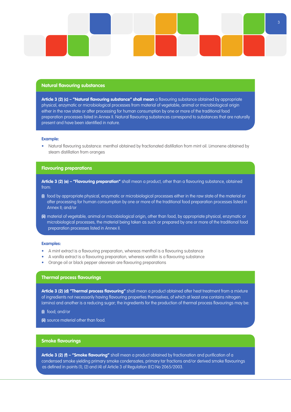#### **Natural flavouring substances**

Article 3 (2) (c) - "Natural flavouring substance" shall mean a flavouring substance obtained by appropriate physical, enzymatic or microbiological processes from material of vegetable, animal or microbiological origin either in the raw state or after processing for human consumption by one or more of the traditional food preparation processes listed in Annex II. Natural flavouring substances correspond to substances that are naturally present and have been identified in nature.

#### **Example:**

• Natural flavouring substance: menthol obtained by fractionated distillation from mint oil. Limonene obtained by steam distillation from oranges

#### **Flavouring preparations**

**Article 3 (2) (e) – "Flavouring preparation"** shall mean a product, other than a flavouring substance, obtained from:

- **(i)** food by appropriate physical, enzymatic or microbiological processes either in the raw state of the material or after processing for human consumption by one or more of the traditional food preparation processes listed in Annex II; and/or
- **(ii)** material of vegetable, animal or microbiological origin, other than food, by appropriate physical, enzymatic or microbiological processes, the material being taken as such or prepared by one or more of the traditional food preparation processes listed in Annex II.

#### **Examples:**

- A mint extract is a flavouring preparation, whereas menthol is a flavouring substance
- A vanilla extract is a flavouring preparation, whereas vanillin is a flavouring substance
- Orange oil or black pepper oleoresin are flavouring preparations

## **Thermal process flavourings**

**Article 3 (2) (d) "Thermal process flavouring"** shall mean a product obtained after heat treatment from a mixture of ingredients not necessarily having flavouring properties themselves, of which at least one contains nitrogen (amino) and another is a reducing sugar; the ingredients for the production of thermal process flavourings may be:

**(i)** food; and/or

**(ii)** source material other than food.

## **Smoke flavourings**

**Article 3 (2) (f) – "Smoke flavouring"** shall mean a product obtained by fractionation and purification of a condensed smoke yielding primary smoke condensates, primary tar fractions and/or derived smoke flavourings as defined in points (1), (2) and (4) of Article 3 of Regulation (EC) No 2065/2003.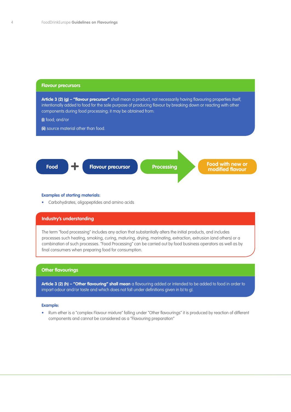#### **Flavour precursors**

**Article 3 (2) (g) – "flavour precursor"** shall mean a product, not necessarily having flavouring properties itself, intentionally added to food for the sole purpose of producing flavour by breaking down or reacting with other components during food processing; it may be obtained from:

### **(i)** food; and/or

**(ii)** source material other than food.



## **Examples of starting materials:**

• Carbohydrates, oligopeptides and amino acids

## **Industry's understanding**

The term "food processing" includes any action that substantially alters the initial products, and includes processes such heating, smoking, curing, maturing, drying, marinating, extraction, extrusion (and others) or a combination of such processes. "Food Processing" can be carried out by food business operators as well as by final consumers when preparing food for consumption.

### **Other flavourings**

**Article 3 (2) (h) – "Other flavouring" shall mean** a flavouring added or intended to be added to food in order to impart odour and/or taste and which does not fall under definitions given in b) to g).

#### **Example:**

• Rum ether is a "complex Flavour mixture" falling under "Other flavourings" it is produced by reaction of different components and cannot be considered as a "Flavouring preparation"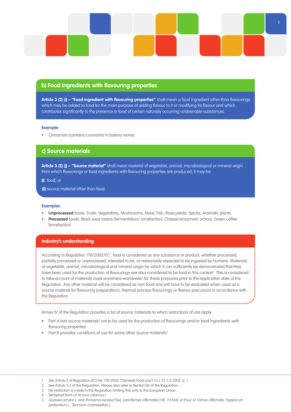## <span id="page-6-0"></span>**b) Food Ingredients with flavouring properties**

**Article 3 (2) (i) – "Food ingredient with flavouring properties"** shall mean a food ingredient other than flavourings which may be added to food for the main purpose of adding flavour to it or modifying its flavour and which contributes significantly to the presence in food of certain naturally occurring undesirable substances.

#### **Example:**

• Cinnamon (contains coumarin) in bakery wares

## **c) Source materials**

**Article 3 (2) (j) – "Source material"** shall mean material of vegetable, animal, microbiological or mineral origin from which flavourings or food ingredients with flavouring properties are produced; it may be:

**(i)** food; or

**(ii)** source material other than food.

#### **Examples:**

- **Unprocessed** foods: Fruits, Vegetables, Mushrooms, Meat, Fish, Rose petals, Spices, Aromatic plants
- **Processed** foods: Black soya beans (fermentation/ torrefaction), Cheese (enzymatic action), Green coffee (torrefaction)

## **Industry's understanding**

According to Regulation 178/2002/EC', food is considered as any substance or product, whether processed, partially processed or unprocessed, intended to be, or reasonably expected to be ingested by humans. Materials of vegetable, animal, microbiological and mineral origin for which it can sufficiently be demonstrated that they have been used for the production of flavourings are also considered to be food in this context<sup>2</sup>. This is considered to take account of materials used anywhere worldwide<sup>3</sup> for these purposes prior to the application date of the Regulation. Any other material will be considered as non-food and will have to be evaluated when used as a source material for flavouring preparations, thermal process flavourings or flavour precursors in accordance with the Regulation.

Annex IV of the Regulation provides a list of source materials to which restrictions of use apply:

- Part A lists source materials<sup>4</sup> not to be used for the production of flavourings and/or food ingredients with flavouring properties
- Part B provides conditions of use for some other source materials<sup>5</sup>

- 3 No restriction is made in the Regulation limiting this only to the European Union.
- 4 Tetraploid form of Acorus calamus L.

<sup>1</sup> See Article 2 of Regulation (EC) No 178/2002 ("General Food Law") OJ L 31, 1.2.2002, p. 1.

<sup>2</sup> See Article 3.3 of the Regulation. Please also refer to Recital (16) of the Regulation.

<sup>5</sup> Quassia amara L. and Picrasma excelsa (Sw), Laricifomes officinales (Vill.: Fr) Kotl. et Pouz or Fomes officinalis, Hypericum perforatum L., Teucrium chamaedrys L.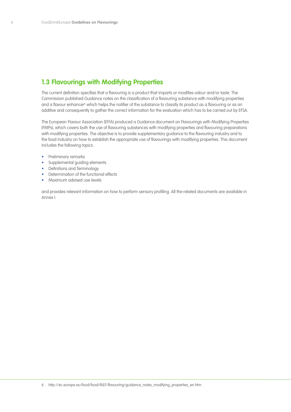## <span id="page-7-0"></span>**1.3 Flavourings with Modifying Properties**

The current definition specifies that a flavouring is a product that imparts or modifies odour and/or taste. The Commission published Guidance notes on the classification of a flavouring substance with modifying properties and a flavour enhancer<sup>6</sup> which helps the notifier of the substance to classify its product as a flavouring or as an additive and consequently to gather the correct information for the evaluation which has to be carried out by EFSA.

The European Flavour Association (EFFA) produced a Guidance document on Flavourings with Modifying Properties (FMPs), which covers both the use of flavouring substances with modifying properties and flavouring preparations with modifying properties. The objective is to provide supplementary guidance to the flavouring industry and to the food industry on how to establish the appropriate use of flavourings with modifying properties. This document includes the following topics:

- Preliminary remarks
- Supplemental guiding elements
- Definitions and Terminology
- Determination of the functional effects
- Maximum advised use levels

and provides relevant information on how to perform sensory profiling. All the related documents are available in Annex I.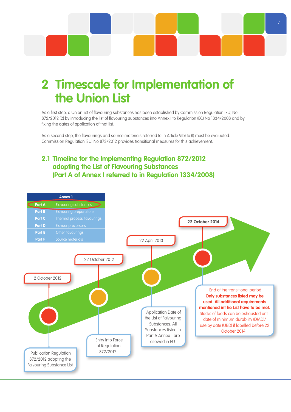## <span id="page-8-0"></span>**2 Timescale for Implementation of the Union List**

As a first step, a Union list of flavouring substances has been established by Commission Regulation (EU) No 872/2012 (2) by introducing the list of flavouring substances into Annex I to Regulation (EC) No 1334/2008 and by fixing the dates of application of that list.

As a second step, the flavourings and source materials referred to in Article 9(b) to (f) must be evaluated. Commission Regulation (EU) No 873/2012 provides transitional measures for this achievement.

## **2.1 Timeline for the Implementing Regulation 872/2012 adopting the List of Flavouring Substances (Part A of Annex I referred to in Regulation 1334/2008)**

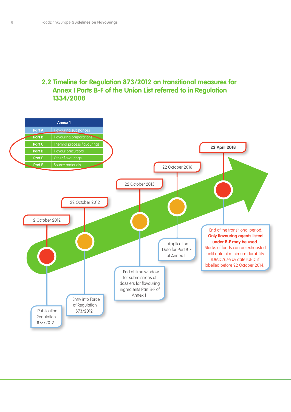## <span id="page-9-0"></span>**2.2 Timeline for Regulation 873/2012 on transitional measures for Annex I Parts B-F of the Union List referred to in Regulation 1334/2008**

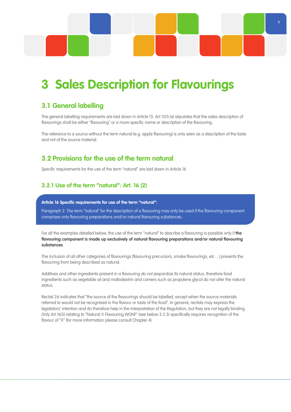## <span id="page-10-0"></span>**3 Sales Description for Flavourings**

## **3.1 General labelling**

The general labelling requirements are laid down in Article 15. Art 15(1) (a) stipulates that the sales description of flavourings shall be either "flavouring" or a more specific name or description of the flavouring.

The reference to a source without the term natural (e.g. apple flavouring) is only seen as a description of the taste and not of the source material.

## **3.2 Provisions for the use of the term natural**

Specific requirements for the use of the term "natural" are laid down in Article 16.

## **3.2.1 Use of the term "natural": Art. 16 (2)**

**Article 16 Specific requirements for use of the term "natural":**

Paragraph 2: The term "natural" for the description of a flavouring may only be used if the flavouring component comprises only flavouring preparations and/or natural flavouring substances.

For all the examples detailed below, the use of the term "natural" to describe a flavouring is possible only if **the flavouring component is made up exclusively of natural flavouring preparations and/or natural flavouring substances**.

The inclusion of all other categories of flavourings (flavouring precursors, smoke flavourings, etc…) prevents the flavouring from being described as natural.

Additives and other ingredients present in a flavouring do not jeopardize its natural status, therefore food ingredients such as vegetable oil and maltodextrin and carriers such as propylene glycol do not alter the natural status.

Recital 26 indicates that "the source of the flavourings should be labelled, except when the source materials referred to would not be recognised in the flavour or taste of the food". In general, recitals may express the legislators' intention and do therefore help in the interpretation of the Regulation, but they are not legally binding. Only Art 16(5) relating to "Natural X Flavouring WONF" (see below 3.2.3) specifically requires recognition of the flavour of "X" (for more information please consult Chapter 4).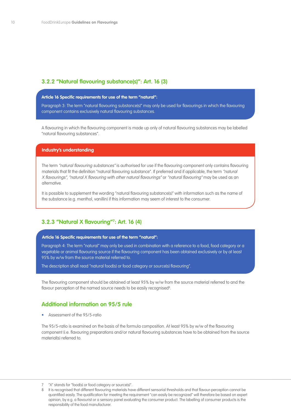## <span id="page-11-0"></span>**3.2.2 "Natural flavouring substance(s)": Art. 16 (3)**

#### **Article 16 Specific requirements for use of the term "natural":**

Paragraph 3: The term "natural flavouring substance(s)" may only be used for flavourings in which the flavouring component contains exclusively natural flavouring substances.

A flavouring in which the flavouring component is made up only of natural flavouring substances may be labelled "natural flavouring substances".

#### **Industry's understanding**

The term "natural flavouring substances" is authorised for use if the flavouring component only contains flavouring materials that fit the definition "natural flavouring substance". If preferred and if applicable, the term "natural X flavourings", "natural X flavouring with other natural flavourings" or "natural flavouring" may be used as an alternative.

It is possible to supplement the wording "natural flavouring substance(s)" with information such as the name of the substance (e.g. menthol, vanillin) if this information may seem of interest to the consumer.

## **3.2.3 "Natural X flavouring"7 : Art. 16 (4)**

#### **Article 16 Specific requirements for use of the term "natural":**

Paragraph 4: The term "natural" may only be used in combination with a reference to a food, food category or a vegetable or animal flavouring source if the flavouring component has been obtained exclusively or by at least 95% by w/w from the source material referred to.

The description shall read "natural food(s) or food category or source(s) flavouring".

The flavouring component should be obtained at least 95% by w/w from the source material referred to and the flavour perception of the named source needs to be easily recognised $^{\rm 8}.$ 

## **Additional information on 95/5 rule**

• Assessment of the 95/5-ratio

The 95/5-ratio is examined on the basis of the formula composition. At least 95% by w/w of the flavouring component (i.e. flavouring preparations and/or natural flavouring substances have to be obtained from the source material(s) referred to.

<sup>7 &</sup>quot;X" stands for "food(s) or food category or source(s)".

<sup>8</sup> It is recognised that different flavouring materials have different sensorial thresholds and that flavour-perception cannot be quantified easily. The qualification for meeting the requirement "can easily be recognized" will therefore be based on expert opinion, by e.g. a flavourist or a sensory panel evaluating the consumer product. The labelling of consumer products is the responsibility of the food manufacturer.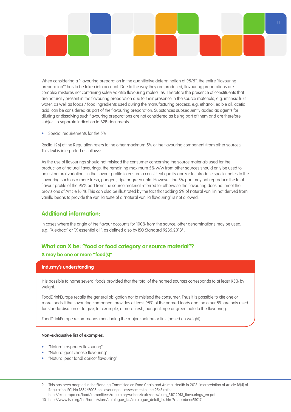

When considering a "flavouring preparation in the quantitative determination of 95/5", the entire "flavouring preparation"9 has to be taken into account. Due to the way they are produced, flavouring preparations are complex mixtures not containing solely volatile flavouring molecules. Therefore the presence of constituents that are naturally present in the flavouring preparation due to their presence in the source materials, e.g. intrinsic fruit water, as well as foods / food ingredients used during the manufacturing process, e.g. ethanol, edible oil, acetic acid, can be considered as part of the flavouring preparation. Substances subsequently added as agents for diluting or dissolving such flavouring preparations are not considered as being part of them and are therefore subject to separate indication in B2B documents.

• Special requirements for the 5%

Recital (26) of the Regulation refers to the other maximum 5% of the flavouring component (from other sources). This text is interpreted as follows:

As the use of flavourings should not mislead the consumer concerning the source materials used for the production of natural flavourings, the remaining maximum 5% w/w from other sources should only be used to adjust natural variations in the flavour profile to ensure a consistent quality and/or to introduce special notes to the flavouring such as a more fresh, pungent, ripe or green note. However, the 5% part may not reproduce the total flavour profile of the 95% part from the source material referred to; otherwise the flavouring does not meet the provisions of Article 16(4). This can also be illustrated by the fact that adding 5% of natural vanillin not derived from vanilla beans to provide the vanilla taste of a "natural vanilla flavouring" is not allowed.

## **Additional information:**

In cases where the origin of the flavour accounts for 100% from the source, other denominations may be used. e.g. "X extract" or "X essential oil", as defined also by ISO Standard 9235:2013<sup>10</sup>.

## **What can X be: "food or food category or source material"?**

## **X may be one or more "food(s)"**

### **Industry's understanding**

It is possible to name several foods provided that the total of the named sources corresponds to at least 95% by weight.

FoodDrinkEurope recalls the general obligation not to mislead the consumer. Thus it is possible to cite one or more foods if the flavouring component provides at least 95% of the named foods and the other 5% are only used for standardisation or to give, for example, a more fresh, pungent, ripe or green note to the flavouring.

FoodDrinkEurope recommends mentioning the major contributor first (based on weight).

### **Non-exhaustive list of examples:**

- "Natural raspberry flavouring"
- "Natural goat cheese flavouring"
- "Natural pear (and) apricot flavouring"
- 9 This has been adopted in the Standing Committee on Food Chain and Animal Health in 2013: interpretation of Article 16(4) of Regulation (EC) No 1334/2008 on flavourings – assessment of the 95/5 ratio: http://ec.europa.eu/food/committees/regulatory/scfcah/toxic/docs/sum\_31012013\_flavourings\_en.pdf.

10 http://www.iso.org/iso/home/store/catalogue\_ics/catalogue\_detail\_ics.htm?csnumber=51017.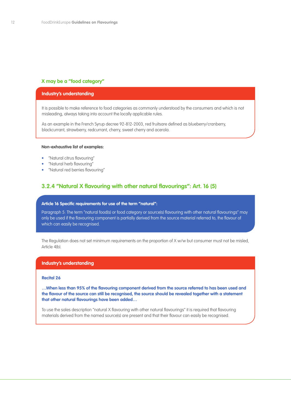## <span id="page-13-0"></span>**X may be a "food category"**

## **Industry's understanding**

It is possible to make reference to food categories as commonly understood by the consumers and which is not misleading, always taking into account the locally applicable rules.

As an example in the French Syrup decree 92-812-2003, red fruitsare defined as blueberry/cranberry, blackcurrant, strawberry, redcurrant, cherry, sweet cherry and acerola.

## **Non-exhaustive list of examples:**

- "Natural citrus flavouring"
- "Natural herb flavouring"
- "Natural red berries flavouring"

## **3.2.4 "Natural X flavouring with other natural flavourings": Art. 16 (5)**

### **Article 16 Specific requirements for use of the term "natural":**

Paragraph 5: The term "natural food(s) or food category or source(s) flavouring with other natural flavourings" may only be used if the flavouring component is partially derived from the source material referred to, the flavour of which can easily be recognised.

The Regulation does not set minimum requirements on the proportion of X w/w but consumer must not be misled, Article 4(b).

## **Industry's understanding**

### **Recital 26**

**…When less than 95% of the flavouring component derived from the source referred to has been used and the flavour of the source can still be recognised, the source should be revealed together with a statement that other natural flavourings have been added…**

To use the sales description "natural X flavouring with other natural flavourings" it is required that flavouring materials derived from the named source(s) are present and that their flavour can easily be recognised.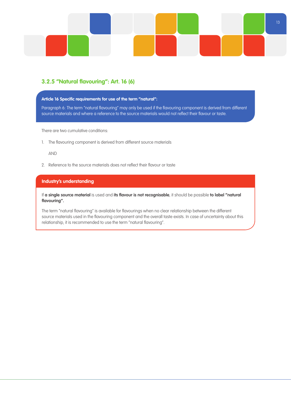<span id="page-14-0"></span>

## **3.2.5 "Natural flavouring": Art. 16 (6)**

**Article 16 Specific requirements for use of the term "natural":**

Paragraph 6: The term "natural flavouring" may only be used if the flavouring component is derived from different source materials and where a reference to the source materials would not reflect their flavour or taste.

There are two cumulative conditions:

1. The flavouring component is derived from different source materials

AND

2. Reference to the source materials does not reflect their flavour or taste

## **Industry's understanding**

If **a single source material** is used and **its flavour is not recognisable**, it should be possible **to label "natural flavouring".**

The term "natural flavouring" is available for flavourings when no clear relationship between the different source materials used in the flavouring component and the overall taste exists. In case of uncertainty about this relationship, it is recommended to use the term "natural flavouring".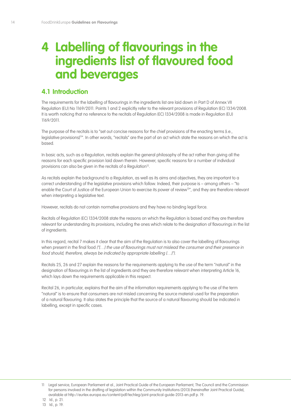## <span id="page-15-0"></span>**4 Labelling of flavourings in the ingredients list of flavoured food and beverages**

## **4.1 Introduction**

The requirements for the labelling of flavourings in the ingredients list are laid down in Part D of Annex VII Regulation (EU) No 1169/2011. Points 1 and 2 explicitly refer to the relevant provisions of Regulation (EC) 1334/2008. It is worth noticing that no reference to the recitals of Regulation (EC) 1334/2008 is made in Regulation (EU) 1169/2011.

The purpose of the recitals is to "set out concise reasons for the chief provisions of the enacting terms [i.e., legislative provisions]<sup>11</sup>". In other words, "recitals" are the part of an act which state the reasons on which the act is based.

In basic acts, such as a Regulation, recitals explain the general philosophy of the act rather than giving all the reasons for each specific provision laid down therein. However, specific reasons for a number of individual provisions can also be given in the recitals of a Regulation<sup>12</sup>.

As recitals explain the background to a Regulation, as well as its aims and objectives, they are important to a correct understanding of the legislative provisions which follow. Indeed, their purpose is – among others – "to enable the Court of Justice of the European Union to exercise its power of review<sup>13"</sup>, and they are therefore relevant when interpreting a legislative text.

However, recitals do not contain normative provisions and they have no binding legal force.

Recitals of Regulation (EC) 1334/2008 state the reasons on which the Regulation is based and they are therefore relevant for understanding its provisions, including the ones which relate to the designation of flavourings in the list of ingredients.

In this regard, recital 7 makes it clear that the aim of the Regulation is to also cover the labelling of flavourings when present in the final food ("[...] the use of flavourings must not mislead the consumer and their presence in food should, therefore, always be indicated by appropriate labelling […]").

Recitals 25, 26 and 27 explain the reasons for the requirements applying to the use of the term "natural" in the designation of flavourings in the list of ingredients and they are therefore relevant when interpreting Article 16, which lays down the requirements applicable in this respect.

Recital 26, in particular, explains that the aim of the information requirements applying to the use of the term "natural" is to ensure that consumers are not misled concerning the source material used for the preparation of a natural flavouring. It also states the principle that the source of a natural flavouring should be indicated in labelling, except in specific cases.

 12 Id., p. 21. 13 Id., p. 19.

<sup>11</sup> Legal service, European Parliament et al., Joint Practical Guide of the European Parliament, The Council and the Commission for persons involved in the drafting of legislation within the Community Institutions (2013) [hereinafter Joint Practical Guide], available at http://eurlex.europa.eu/content/pdf/techleg/joint-practical-guide-2013-en.pdf p. 19.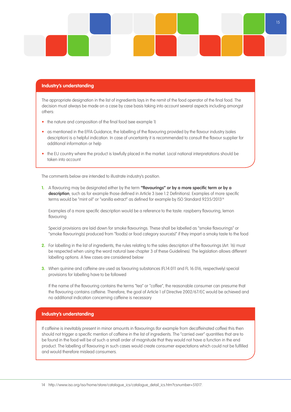### **Industry's understanding**

The appropriate designation in the list of ingredients lays in the remit of the food operator of the final food. The decision must always be made on a case by case basis taking into account several aspects including amongst others:

- the nature and composition of the final food (see example 1)
- as mentioned in the EFFA Guidance, the labelling of the flavouring provided by the flavour industry (sales description) is a helpful indication. In case of uncertainty it is recommended to consult the flavour supplier for additional information or help
- the EU country where the product is lawfully placed in the market. Local national interpretations should be taken into account

The comments below are intended to illustrate industry's position.

**1.** A flavouring may be designated either by the term "flavourings" or by a more specific term or by a **description**, such as for example those defined in Article 3 (see 1.2 Definitions). Examples of more specific terms would be "mint oil" or "vanilla extract" as defined for example by ISO Standard 9235/2013<sup>14</sup>

Examples of a more specific description would be a reference to the taste: raspberry flavouring, lemon flavouring

Special provisions are laid down for smoke flavourings. These shall be labelled as "smoke flavourings" or "smoke flavouring(s) produced from "food(s) or food category source(s)" if they impart a smoky taste to the food

- **2.** For labelling in the list of ingredients, the rules relating to the sales description of the flavourings (Art. 16) must be respected when using the word natural (see chapter 3 of these Guidelines). The legislation allows different labelling options. A few cases are considered below
- **3.** When quinine and caffeine are used as favouring substances (FL14.011 and FL 16.016, respectively) special provisions for labelling have to be followed

If the name of the flavouring contains the terms "tea" or "coffee", the reasonable consumer can presume that the flavouring contains caffeine. Therefore, the goal of Article 1 of Directive 2002/67/EC would be achieved and no additional indication concerning caffeine is necessary

## **Industry's understanding**

If caffeine is inevitably present in minor amounts in flavourings (for example from decaffeinated coffee) this then should not trigger a specific mention of caffeine in the list of ingredients. The "carried over" quantities that are to be found in the food will be of such a small order of magnitude that they would not have a function in the end product. The labelling of flavouring in such cases would create consumer expectations which could not be fulfilled and would therefore mislead consumers.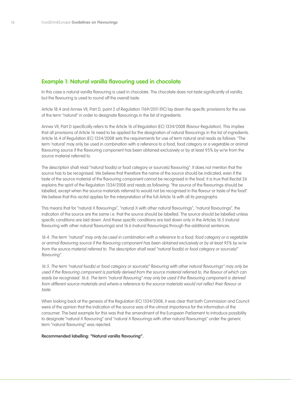## **Example 1: Natural vanilla flavouring used in chocolate**

In this case a natural vanilla flavouring is used in chocolate. The chocolate does not taste significantly of vanilla, but the flavouring is used to round off the overall taste.

Article 18.4 and Annex VII, Part D, point 2 of Regulation 1169/2011 (FIC) lay down the specific provisions for the use of the term "natural" in order to designate flavourings in the list of ingredients.

Annex VII, Part D specifically refers to the Article 16 of Regulation (EC) 1334/2008 (flavour Regulation). This implies that all provisions of Article 16 need to be applied for the designation of natural flavourings in the list of ingredients. Article 16.4 of Regulation (EC) 1334/2008 sets the requirements for use of term natural and reads as follows: "The term 'natural' may only be used in combination with a reference to a food, food category or a vegetable or animal flavouring source if the flavouring component has been obtained exclusively or by at least 95% by w/w from the source material referred to.

The description shall read "natural food(s) or food category or source(s) flavouring". It does not mention that the source has to be recognised. We believe that therefore the name of the source should be indicated, even if the taste of the source material of the flavouring component cannot be recognised in the food. It is true that Recital 26 explains the spirit of the Regulation 1334/2008 and reads as following: "the source of the flavourings should be labelled, except when the source materials referred to would not be recognised in the flavour or taste of the food". We believe that this recital applies for the interpretation of the full Article 16 with all its paragraphs.

This means that for "natural X flavourings", "natural X with other natural flavourings", "natural flavourings", the indication of the source are the same i.e. that the source should be labelled. The source should be labelled unless specific conditions are laid down. And these specific conditions are laid down only in the Articles 16.5 (natural flavouring with other natural flavourings) and 16.6 (natural flavourings) through the additional sentences.

16.4. The term "natural" may only be used in combination with a reference to a food, food category or a vegetable or animal flavouring source if the flavouring component has been obtained exclusively or by at least 95% by w/w from the source material referred to. The description shall read "natural food(s) or food category or source(s)" flavouring".

16.5. The term "natural food(s) or food category or source(s)" flavouring with other natural flavourings" may only be used if the flavouring component is partially derived from the source material referred to, the flavour of which can easily be recognised. 16.6. The term "natural flavouring" may only be used if the flavouring component is derived from different source materials and where a reference to the source materials would not reflect their flavour or taste.

When looking back at the genesis of the Regulation (EC) 1334/2008, it was clear that both Commission and Council were of the opinion that the indication of the source was of the utmost importance for the information of the consumer. The best example for this was that the amendment of the European Parliament to introduce possibility to designate "natural X flavouring" and "natural X flavourings with other natural flavourings" under the generic term "natural flavouring" was rejected.

**Recommended labelling: "Natural vanilla flavouring".**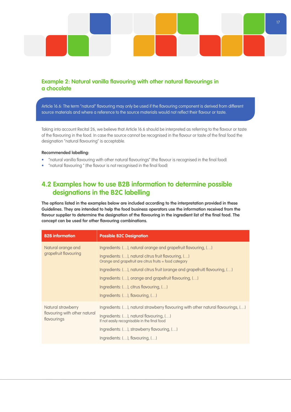<span id="page-18-0"></span>

## **Example 2: Natural vanilla flavouring with other natural flavourings in a chocolate**

Article 16.6: The term "natural" flavouring may only be used if the flavouring component is derived from different source materials and where a reference to the source materials would not reflect their flavour or taste.

Taking into account Recital 26, we believe that Article 16.6 should be interpreted as referring to the flavour or taste of the flavouring in the food. In case the source cannot be recognised in the flavour or taste of the final food the designation "natural flavouring" is acceptable.

### **Recommended labelling:**

- "natural vanilla flavouring with other natural flavourings" (the flavour is recognised in the final food)
- "natural flavouring " (the flavour is not recognised in the final food)

## **4.2 Examples how to use B2B information to determine possible designations in the B2C labelling**

**The options listed in the examples below are included according to the interpretation provided in these Guidelines. They are intended to help the food business operators use the information received from the flavour supplier to determine the designation of the flavouring in the ingredient list of the final food. The concept can be used for other flavouring combinations.**

| <b>B2B</b> information                                             | <b>Possible B2C Designation</b>                                                                                                                                                                                                                                                                                                                                                                                  |
|--------------------------------------------------------------------|------------------------------------------------------------------------------------------------------------------------------------------------------------------------------------------------------------------------------------------------------------------------------------------------------------------------------------------------------------------------------------------------------------------|
| Natural orange and<br>grapefruit flavouring                        | Ingredients: (), natural orange and grapefruit flavouring, ()<br>Ingredients: (), natural citrus fruit flavouring, ()<br>Orange and grapefruit are citrus fruits = food category<br>Ingredients: (), natural citrus fruit (orange and grapefruit) flavouring, ()<br>Ingredients: (), orange and grapefruit flavouring, ()<br>Ingredients: $()$ , citrus flavouring, $()$<br>Ingredients: $()$ , flavouring, $()$ |
| Natural strawberry<br>flavouring with other natural<br>flavourings | Ingredients: (), natural strawberry flavouring with other natural flavourings, ()<br>Ingredients: $()$ , natural flavouring, $()$<br>If not easily recognisable in the final food<br>Ingredients: $()$ , strawberry flavouring, $()$<br>Ingredients: $()$ , flavouring, $()$                                                                                                                                     |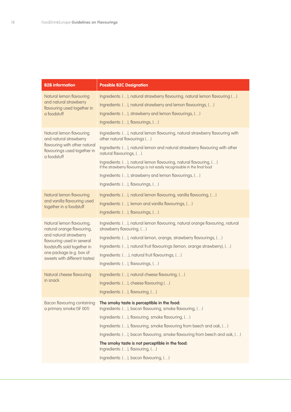| <b>B2B</b> information                                                                                                                                                                                      | <b>Possible B2C Designation</b>                                                                                                                                                                                                                                                                                                                                                                                                                                         |  |  |  |  |
|-------------------------------------------------------------------------------------------------------------------------------------------------------------------------------------------------------------|-------------------------------------------------------------------------------------------------------------------------------------------------------------------------------------------------------------------------------------------------------------------------------------------------------------------------------------------------------------------------------------------------------------------------------------------------------------------------|--|--|--|--|
| Natural lemon flavouring<br>and natural strawberry<br>flavouring used together in<br>a foodstuff                                                                                                            | Ingredients: (), natural strawberry flavouring, natural lemon flavouring ()<br>Ingredients: (), natural strawberry and lemon flavourings, ()<br>Ingredients: (), strawberry and lemon flavourings, ()<br>Ingredients: (), flavourings, ()                                                                                                                                                                                                                               |  |  |  |  |
| Natural lemon flavouring<br>and natural strawberry<br>flavouring with other natural<br>flavourings used together in<br>a foodstuff                                                                          | Ingredients: (), natural lemon flavouring, natural strawberry flavouring with<br>other natural flavourings ()<br>Ingredients: (), natural lemon and natural strawberry flavouring with other<br>natural flavourings, ()<br>Ingredients: (), natural lemon flavouring, natural flavouring, ()<br>If the strawberry flavourings is not easily recognisable in the final food<br>Ingredients: (), strawberry and lemon flavourings, ()<br>Ingredients: (), flavourings, () |  |  |  |  |
| Natural lemon flavouring<br>and vanilla flavouring used<br>together in a foodstuff                                                                                                                          | Ingredients: (), natural lemon flavouring, vanilla flavouring, ()<br>Ingredients: (), lemon and vanilla flavourings, ()<br>Ingredients: (), flavourings, ()                                                                                                                                                                                                                                                                                                             |  |  |  |  |
| Natural lemon flavouring,<br>natural orange flavouring,<br>and natural strawberry<br>flavouring used in several<br>foodstuffs sold together in<br>one package (e.g. box of<br>sweets with different tastes) | Ingredients: (), natural lemon flavouring, natural orange flavouring, natural<br>strawberry flavouring, ()<br>Ingredients: (), natural lemon, orange, strawberry flavourings, ()<br>Ingredients: (), natural fruit flavourings (lemon, orange strawberry), ()<br>Ingredients: (), natural fruit flavourings, ()<br>Ingredients: (), flavourings, ()                                                                                                                     |  |  |  |  |
| Natural cheese flavouring<br>in snack                                                                                                                                                                       | Ingredients: (), natural cheese flavouring, ()<br>Ingredients: (), cheese flavouring ()<br>Ingredients: (), flavouring, ()                                                                                                                                                                                                                                                                                                                                              |  |  |  |  |
| Bacon flavouring containing<br>a primary smoke (SF 001)                                                                                                                                                     | The smoky taste is perceptible in the food:<br>Ingredients: (), bacon flavouring, smoke flavouring, ()<br>Ingredients: (), flavouring, smoke flavouring, ()<br>Ingredients: (), flavouring, smoke flavouring from beech and oak, ()<br>Ingredients: (), bacon flavouring, smoke flavouring from beech and oak, ()<br>The smoky taste is not perceptible in the food:<br>Ingredients: (), flavouring, ()<br>Ingredients: (), bacon flavouring, ()                        |  |  |  |  |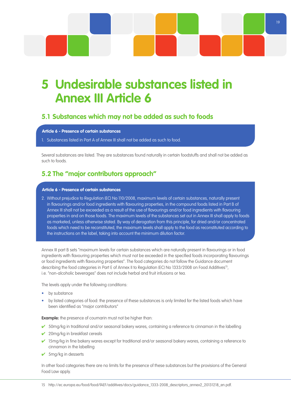## <span id="page-20-0"></span>**5 Undesirable substances listed in Annex III Article 6**

## **5.1 Substances which may not be added as such to foods**

## **Article 6 - Presence of certain substances**

### 1. Substances listed in Part A of Annex III shall not be added as such to food.

Several substances are listed. They are substances found naturally in certain foodstuffs and shall not be added as such to foods.

## **5.2 The "major contributors approach"**

## **Article 6 - Presence of certain substances**

2. Without prejudice to Regulation (EC) No 110/2008, maximum levels of certain substances, naturally present in flavourings and/or food ingredients with flavouring properties, in the compound foods listed in Part B of Annex III shall not be exceeded as a result of the use of flavourings and/or food ingredients with flavouring properties in and on those foods. The maximum levels of the substances set out in Annex III shall apply to foods as marketed, unless otherwise stated. By way of derogation from this principle, for dried and/or concentrated foods which need to be reconstituted, the maximum levels shall apply to the food as reconstituted according to the instructions on the label, taking into account the minimum dilution factor.

Annex III part B sets "maximum levels for certain substances which are naturally present in flavourings or in food ingredients with flavouring properties which must not be exceeded in the specified foods incorporating flavourings or food ingredients with flavouring properties". The food categories do not follow the Guidance document describing the food categories in Part E of Annex II to Regulation (EC) No 1333/2008 on Food Additives<sup>15</sup>, i.e. "non-alcoholic beverages" does not include herbal and fruit infusions or tea.

The levels apply under the following conditions:

- by substance
- by listed categories of food: the presence of these substances is only limited for the listed foods which have been identified as "major contributors"

**Example:** the presence of coumarin must not be higher than:

- ✔ 50mg/kg in traditional and/or seasonal bakery wares, containing a reference to cinnamon in the labelling
- $\vee$  20mg/kg in breakfast cereals
- ✔ 15mg/kg in fine bakery wares except for traditional and/or seasonal bakery wares, containing a reference to cinnamon in the labelling
- $\overline{\smash{\checkmark}}$  5mg/kg in desserts

In other food categories there are no limits for the presence of these substances but the provisions of the General Food Law apply.

15 http://ec.europa.eu/food/food/fAEF/additives/docs/guidance\_1333-2008\_descriptors\_annex2\_20131218\_en.pdf.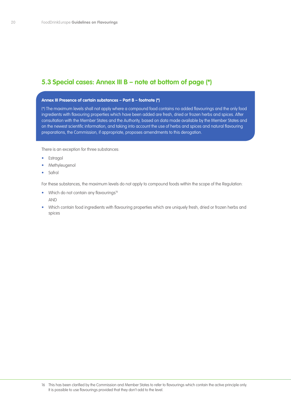## <span id="page-21-0"></span>**5.3 Special cases: Annex III B – note at bottom of page (\*)**

#### **Annex III Presence of certain substances – Part B – footnote (\*)**

(\*) The maximum levels shall not apply where a compound food contains no added flavourings and the only food ingredients with flavouring properties which have been added are fresh, dried or frozen herbs and spices. After consultation with the Member States and the Authority, based on data made available by the Member States and on the newest scientific information, and taking into account the use of herbs and spices and natural flavouring preparations, the Commission, if appropriate, proposes amendments to this derogation.

There is an exception for three substances:

- Estragol
- **Methyleugenol**
- **Safrol**

For these substances, the maximum levels do not apply to compound foods within the scope of the Regulation:

- Which do not contain any flavourings<sup>16</sup> AND
- Which contain food ingredients with flavouring properties which are uniquely fresh, dried or frozen herbs and spices

<sup>16</sup> This has been clarified by the Commission and Member States to refer to flavourings which contain the active principle only. It is possible to use flavourings provided that they don't add to the level.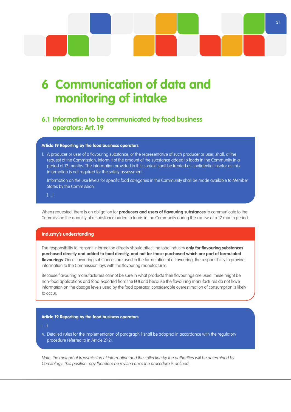## <span id="page-22-0"></span>**6 Communication of data and monitoring of intake**

## **6.1 Information to be communicated by food business operators: Art. 19**

#### **Article 19 Reporting by the food business operators**

1. A producer or user of a flavouring substance, or the representative of such producer or user, shall, at the request of the Commission, inform it of the amount of the substance added to foods in the Community in a period of 12 months. The information provided in this context shall be treated as confidential insofar as this information is not required for the safety assessment.

 Information on the use levels for specific food categories in the Community shall be made available to Member States by the Commission.

When requested, there is an obligation for **producers and users of flavouring substances** to communicate to the Commission the quantity of a substance added to foods in the Community during the course of a 12 month period.

## **Industry's understanding**

The responsibility to transmit information directly should affect the food industry **only for flavouring substances purchased directly and added to food directly, and not for those purchased which are part of formulated flavourings**. Once flavouring substances are used in the formulation of a flavouring, the responsibility to provide information to the Commission lays with the flavouring manufacturer.

Because flavouring manufacturers cannot be sure in what products their flavourings are used (these might be non-food applications and food exported from the EU) and because the flavouring manufactures do not have information on the dosage levels used by the food operator, considerable overestimation of consumption is likely to occur.

#### **Article 19 Reporting by the food business operators**

 $($ 

4. Detailed rules for the implementation of paragraph 1 shall be adopted in accordance with the regulatory procedure referred to in Article 21(2).

Note: the method of transmission of information and the collection by the authorities will be determined by Comitology. This position may therefore be revised once the procedure is defined.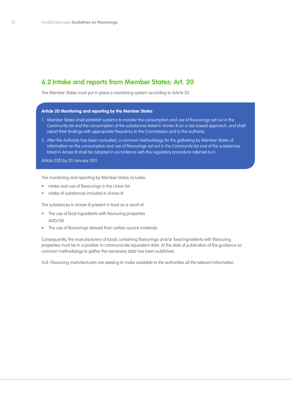## <span id="page-23-0"></span>**6.2 Intake and reports from Member States: Art. 20**

The Member States must put in place a monitoring system according to Article 20.

#### **Article 20 Monitoring and reporting by the Member States**

- 1. Member States shall establish systems to monitor the consumption and use of flavourings set out in the Community list and the consumption of the substances listed in Annex III on a risk-based approach, and shall report their findings with appropriate frequency to the Commission and to the Authority.
- 2. After the Authority has been consulted, a common methodology for the gathering by Member States of information on the consumption and use of flavourings set out in the Community list and of the substances listed in Annex III shall be adopted in accordance with the regulatory procedure referred to in

Article 21(2) by 20 January 2011.

The monitoring and reporting by Member States includes:

- intake and use of flavourings in the Union list
- intake of substances included in Annex III

The substances in Annex III present in food as a result of:

- The use of food ingredients with flavouring properties AND/OR
- The use of flavourings derived from certain source materials

Consequently, the manufacturers of foods containing flavourings and/or food ingredients with flavouring properties must be in a position to communicate equivalent data. At the date of publication of the guidance no common methodology to gather the necessary data has been published.

N.B: Flavouring manufacturers are seeking to make available to the authorities all the relevant information.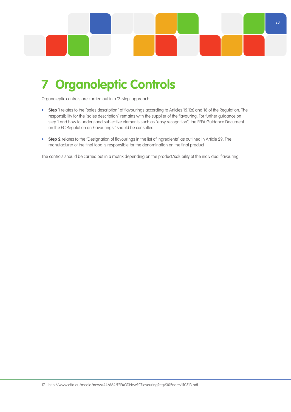<span id="page-24-0"></span>

## **7 Organoleptic Controls**

Organoleptic controls are carried out in a '2-step' approach.

- **Step 1** relates to the "sales description'' of flavourings according to Articles 15.1(a) and 16 of the Regulation. The responsibility for the "sales description" remains with the supplier of the flavouring. For further guidance on step 1 and how to understand subjective elements such as "easy recognition", the EFFA Guidance Document on the EC Regulation on Flavourings<sup>17</sup> should be consulted
- **Step 2** relates to the "Designation of flavourings in the list of ingredients" as outlined in Article 29. The manufacturer of the final food is responsible for the denomination on the final product

The controls should be carried out in a matrix depending on the product/solubility of the individual flavouring.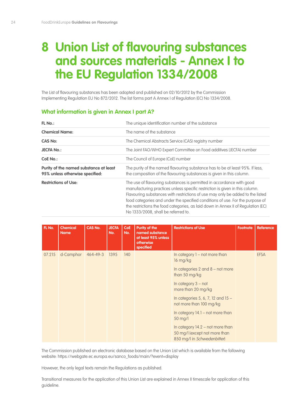## <span id="page-25-0"></span>**8 Union List of flavouring substances and sources materials - Annex I to the EU Regulation 1334/2008**

The List of flavouring substances has been adopted and published on 02/10/2012 by the Commission Implementing Regulation EU No 872/2012. The list forms part A Annex I of Regulation (EC) No 1334/2008.

## **What information is given in Annex I part A?**

| FL No.:                                                                   | The unique identification number of the substance                                                                                                                                                                                                                                                                                                                                                                                                    |
|---------------------------------------------------------------------------|------------------------------------------------------------------------------------------------------------------------------------------------------------------------------------------------------------------------------------------------------------------------------------------------------------------------------------------------------------------------------------------------------------------------------------------------------|
| <b>Chemical Name:</b>                                                     | The name of the substance                                                                                                                                                                                                                                                                                                                                                                                                                            |
| <b>CAS No:</b>                                                            | The Chemical Abstracts Service (CAS) registry number                                                                                                                                                                                                                                                                                                                                                                                                 |
| <b>JECFA No.:</b>                                                         | The Joint FAO/WHO Expert Committee on Food additives (JECFA) number                                                                                                                                                                                                                                                                                                                                                                                  |
| CoE No.:                                                                  | The Council of Europe (CoE) number                                                                                                                                                                                                                                                                                                                                                                                                                   |
| Purity of the named substance at least<br>95% unless otherwise specified: | The purity of the named flavouring substance has to be at least 95%. If less,<br>the composition of the flavouring substances is given in this column.                                                                                                                                                                                                                                                                                               |
| <b>Restrictions of Use:</b>                                               | The use of flavouring substances is permitted in accordance with good<br>manufacturing practices unless specific restriction is given in this column.<br>Flavouring substances with restrictions of use may only be added to the listed<br>food categories and under the specified conditions of use. For the purpose of<br>the restrictions the food categories, as laid down in Annex II of Regulation (EC)<br>No 1333/2008, shall be referred to. |

| FL No. | <b>Chemical</b><br><b>Name</b> | CAS No.  | <b>JECFA</b><br>No. | <b>CoE</b><br>No. | <b>Purity of the</b><br>named substance<br>at least 95% unless<br>otherwise<br>specified | <b>Restrictions of Use</b>                                                                         | <b>Footnote</b> | <b>Reference</b> |
|--------|--------------------------------|----------|---------------------|-------------------|------------------------------------------------------------------------------------------|----------------------------------------------------------------------------------------------------|-----------------|------------------|
| 07.215 | d-Camphor                      | 464-49-3 | 1395                | 140               |                                                                                          | In category 1 – not more than<br>16 mg/kg                                                          |                 | <b>EFSA</b>      |
|        |                                |          |                     |                   |                                                                                          | In categories 2 and $8$ – not more<br>than 50 mg/kg                                                |                 |                  |
|        |                                |          |                     |                   |                                                                                          | In category $3 - not$<br>more than 20 mg/kg                                                        |                 |                  |
|        |                                |          |                     |                   |                                                                                          | In categories 5, 6, 7, 12 and $15 -$<br>not more than 100 mg/kg                                    |                 |                  |
|        |                                |          |                     |                   |                                                                                          | In category 14.1 – not more than<br>$50$ mg/l                                                      |                 |                  |
|        |                                |          |                     |                   |                                                                                          | In category $14.2$ – not more than<br>50 mg/l (except not more than<br>850 mg/l in Schwedenbitter) |                 |                  |

The Commission published an electronic database based on the Union List which is available from the following website: https://webgate.ec.europa.eu/sanco\_foods/main/?event=display

However, the only legal texts remain the Regulations as published.

Transitional measures for the application of this Union List are explained in Annex II timescale for application of this guideline.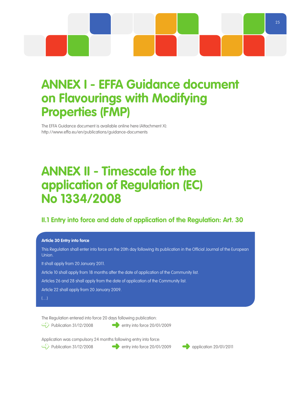## <span id="page-26-0"></span>**ANNEX I - EFFA Guidance document on Flavourings with Modifying Properties (FMP)**

The EFFA Guidance document is available online here (Attachment X): http://www.effa.eu/en/publications/guidance-documents

## **ANNEX II - Timescale for the application of Regulation (EC) No 1334/2008**

## **II.1 Entry into force and date of application of the Regulation: Art. 30**

### **Article 30 Entry into force**

This Regulation shall enter into force on the 20th day following its publication in the Official Journal of the European Union.

It shall apply from 20 January 2011.

Article 10 shall apply from 18 months after the date of application of the Community list.

Articles 26 and 28 shall apply from the date of application of the Community list.

Article 22 shall apply from 20 January 2009.

## $($

The Regulation entered into force 20 days following publication:

 $\Rightarrow$  Publication 31/12/2008 entry into force 20/01/2009

Application was compulsory 24 months following entry into force:

 $\Rightarrow$  Publication 31/12/2008  $\Rightarrow$  entry into force 20/01/2009  $\Rightarrow$  application 20/01/2011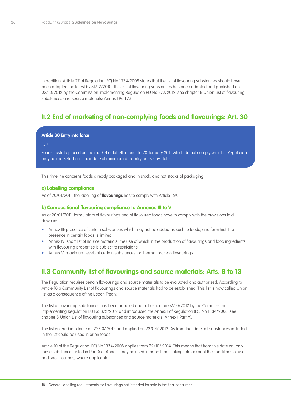<span id="page-27-0"></span>In addition, Article 27 of Regulation (EC) No 1334/2008 states that the list of flavouring substances should have been adopted the latest by 31/12/2010. This list of flavouring substances has been adopted and published on 02/10/2012 by the Commission Implementing Regulation EU No 872/2012 (see chapter 8 Union List of flavouring substances and source materials: Annex I Part A).

## **II.2 End of marketing of non-complying foods and flavourings: Art. 30**

#### **Article 30 Entry into force**

 $(\ldots)$ 

Foods lawfully placed on the market or labelled prior to 20 January 2011 which do not comply with this Regulation may be marketed until their date of minimum durability or use-by-date.

This timeline concerns foods already packaged and in stock, and not stocks of packaging.

### **a) Labelling compliance**

As of 20/01/2011, the labelling of **flavourings** has to comply with Article 1518.

## **b) Compositional flavouring compliance to Annexes III to V**

As of 20/01/2011, formulators of flavourings and of flavoured foods have to comply with the provisions laid down in:

- Annex III: presence of certain substances which may not be added as such to foods, and for which the presence in certain foods is limited
- Annex IV: short list of source materials, the use of which in the production of flavourings and food ingredients with flavouring properties is subject to restrictions
- Annex V: maximum levels of certain substances for thermal process flavourings

## **II.3 Community list of flavourings and source materials: Arts. 8 to 13**

The Regulation requires certain flavourings and source materials to be evaluated and authorised. According to Article 10 a Community List of flavourings and source materials had to be established. This list is now called Union list as a consequence of the Lisbon Treaty.

The list of flavouring substances has been adopted and published on 02/10/2012 by the Commission Implementing Regulation EU No 872/2012 and introduced the Annex I of Regulation (EC) No 1334/2008 (see chapter 8 Union List of flavouring substances and source materials: Annex I Part A).

The list entered into force on 22/10/ 2012 and applied on 22/04/ 2013. As from that date, all substances included in the list could be used in or on foods.

Article 10 of the Regulation (EC) No 1334/2008 applies from 22/10/ 2014. This means that from this date on, only those substances listed in Part A of Annex I may be used in or on foods taking into account the conditions of use and specifications, where applicable.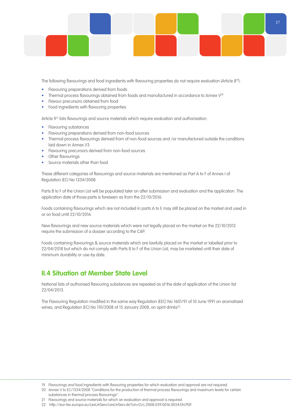<span id="page-28-0"></span>

The following flavourings and food ingredients with flavouring properties do not require evaluation (Article 819):

- Flavouring preparations derived from foods
- Thermal process flavourings obtained from foods and manufactured in accordance to Annex  $V^{20}$
- Flavour precursors obtained from food
- Food ingredients with flavouring properties

Article 9<sup>21</sup> lists flavourings and source materials which require evaluation and authorisation:

- Flavouring substances
- Flavouring preparations derived from non-food sources
- Thermal process flavourings derived from of non-food sources and /or manufactured outside the conditions laid down in Annex V3
- Flavouring precursors derived from non-food sources
- **Other flavourings**
- Source materials other than food

These different categories of flavourings and source materials are mentioned as Part A to F of Annex I of Regulation (EC) No 1334/2008.

Parts B to F of the Union List will be populated later on after submission and evaluation and the application. The application date of those parts is foreseen as from the 22/10/2016.

Foods containing flavourings which are not included in parts A to E may still be placed on the market and used in or on food until 22/10/2016.

New flavourings and new source materials which were not legally placed on the market on the 22/10/2012 require the submission of a dossier according to the CAP.

Foods containing flavourings & source materials which are lawfully placed on the market or labelled prior to 22/04/2018 but which do not comply with Parts B to F of the Union List, may be marketed until their date of minimum durability or use-by date.

## **II.4 Situation at Member State Level**

National lists of authorised flavouring substances are repealed as of the date of application of the Union list 22/04/2013.

The Flavouring Regulation modified in the same way Regulation (EEC) No 1601/91 of 10 June 1991 on aromatised wines, and Regulation (EC) No 110/2008 of 15 January 2008, on spirit drinks<sup>22</sup>.

<sup>19</sup> Flavourings and food ingredients with flavouring properties for which evaluation and approval are not required.

<sup>20</sup> Annex V to EC/1334/2008 "Conditions for the production of thermal process flavourings and maximum levels for certain substances in thermal process flavourings".

<sup>21</sup> Flavourings and source materials for which an evaluation and approval is required.

<sup>22</sup> http://eur-lex.europa.eu/LexUriServ/LexUriServ.do?uri=OJ:L:2008:039:0016:0054:EN:PDF.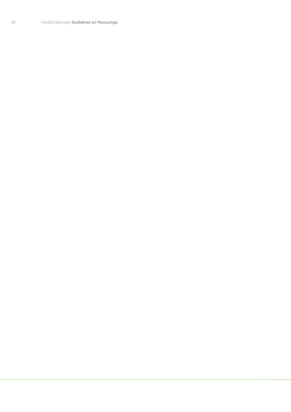FoodDrinkEurope **Guidelines on Flavourings**